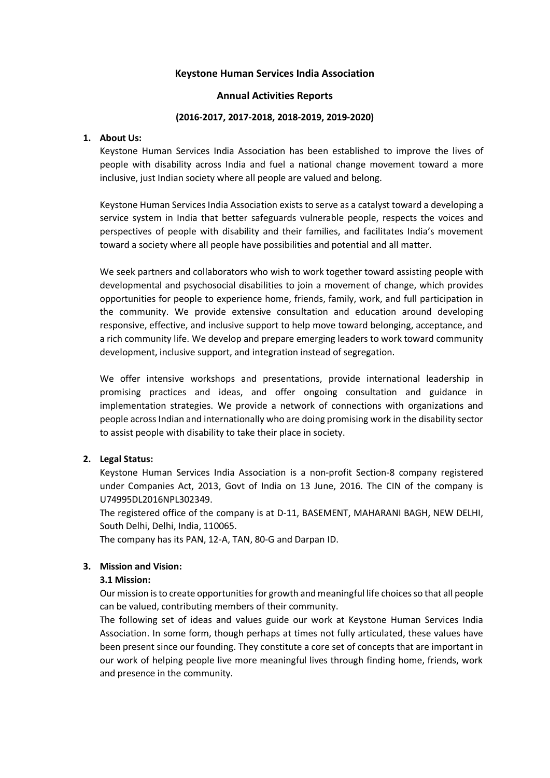## **Keystone Human Services India Association**

## **Annual Activities Reports**

#### **(2016-2017, 2017-2018, 2018-2019, 2019-2020)**

### **1. About Us:**

Keystone Human Services India Association has been established to improve the lives of people with disability across India and fuel a national change movement toward a more inclusive, just Indian society where all people are valued and belong.

Keystone Human Services India Association exists to serve as a catalyst toward a developing a service system in India that better safeguards vulnerable people, respects the voices and perspectives of people with disability and their families, and facilitates India's movement toward a society where all people have possibilities and potential and all matter.

We seek partners and collaborators who wish to work together toward assisting people with developmental and psychosocial disabilities to join a movement of change, which provides opportunities for people to experience home, friends, family, work, and full participation in the community. We provide extensive consultation and education around developing responsive, effective, and inclusive support to help move toward belonging, acceptance, and a rich community life. We develop and prepare emerging leaders to work toward community development, inclusive support, and integration instead of segregation.

We offer intensive workshops and presentations, provide international leadership in promising practices and ideas, and offer ongoing consultation and guidance in implementation strategies. We provide a network of connections with organizations and people across Indian and internationally who are doing promising work in the disability sector to assist people with disability to take their place in society.

## **2. Legal Status:**

Keystone Human Services India Association is a non-profit Section-8 company registered under Companies Act, 2013, Govt of India on 13 June, 2016. The CIN of the company is U74995DL2016NPL302349.

The registered office of the company is at D-11, BASEMENT, MAHARANI BAGH, NEW DELHI, South Delhi, Delhi, India, 110065.

The company has its PAN, 12-A, TAN, 80-G and Darpan ID.

## **3. Mission and Vision:**

## **3.1 Mission:**

Our mission is to create opportunities for growth and meaningful life choices so that all people can be valued, contributing members of their community.

The following set of ideas and values guide our work at Keystone Human Services India Association. In some form, though perhaps at times not fully articulated, these values have been present since our founding. They constitute a core set of concepts that are important in our work of helping people live more meaningful lives through finding home, friends, work and presence in the community.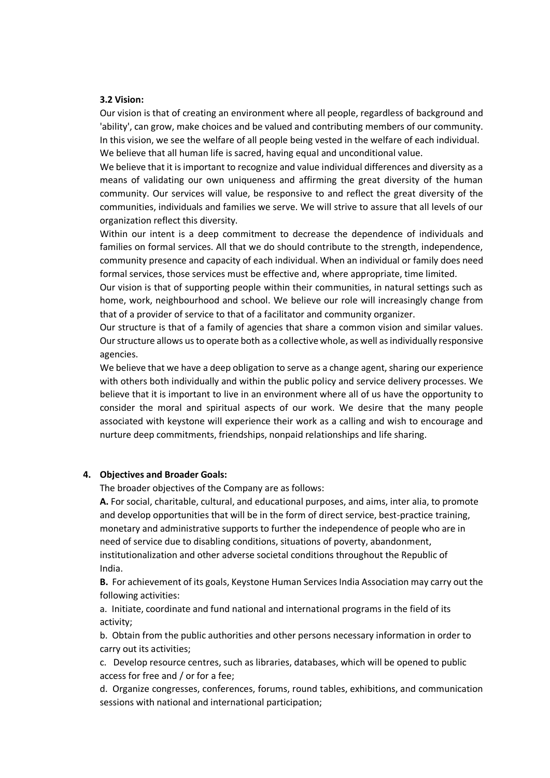#### **3.2 Vision:**

Our vision is that of creating an environment where all people, regardless of background and 'ability', can grow, make choices and be valued and contributing members of our community. In this vision, we see the welfare of all people being vested in the welfare of each individual. We believe that all human life is sacred, having equal and unconditional value.

We believe that it is important to recognize and value individual differences and diversity as a means of validating our own uniqueness and affirming the great diversity of the human community. Our services will value, be responsive to and reflect the great diversity of the communities, individuals and families we serve. We will strive to assure that all levels of our organization reflect this diversity.

Within our intent is a deep commitment to decrease the dependence of individuals and families on formal services. All that we do should contribute to the strength, independence, community presence and capacity of each individual. When an individual or family does need formal services, those services must be effective and, where appropriate, time limited.

Our vision is that of supporting people within their communities, in natural settings such as home, work, neighbourhood and school. We believe our role will increasingly change from that of a provider of service to that of a facilitator and community organizer.

Our structure is that of a family of agencies that share a common vision and similar values. Our structure allows us to operate both as a collective whole, as well as individually responsive agencies.

We believe that we have a deep obligation to serve as a change agent, sharing our experience with others both individually and within the public policy and service delivery processes. We believe that it is important to live in an environment where all of us have the opportunity to consider the moral and spiritual aspects of our work. We desire that the many people associated with keystone will experience their work as a calling and wish to encourage and nurture deep commitments, friendships, nonpaid relationships and life sharing.

#### **4. Objectives and Broader Goals:**

The broader objectives of the Company are as follows:

**A.** For social, charitable, cultural, and educational purposes, and aims, inter alia, to promote and develop opportunities that will be in the form of direct service, best-practice training, monetary and administrative supports to further the independence of people who are in need of service due to disabling conditions, situations of poverty, abandonment, institutionalization and other adverse societal conditions throughout the Republic of India.

**B.** For achievement of its goals, Keystone Human Services India Association may carry out the following activities:

a. Initiate, coordinate and fund national and international programs in the field of its activity;

b. Obtain from the public authorities and other persons necessary information in order to carry out its activities;

c. Develop resource centres, such as libraries, databases, which will be opened to public access for free and / or for a fee;

d. Organize congresses, conferences, forums, round tables, exhibitions, and communication sessions with national and international participation;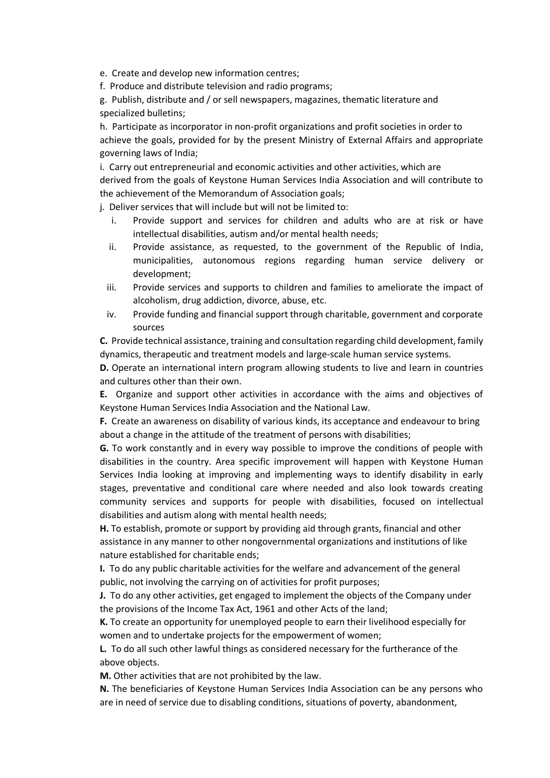e. Create and develop new information centres;

f. Produce and distribute television and radio programs;

g. Publish, distribute and / or sell newspapers, magazines, thematic literature and specialized bulletins;

h. Participate as incorporator in non-profit organizations and profit societies in order to achieve the goals, provided for by the present Ministry of External Affairs and appropriate governing laws of India;

i. Carry out entrepreneurial and economic activities and other activities, which are derived from the goals of Keystone Human Services India Association and will contribute to the achievement of the Memorandum of Association goals;

j. Deliver services that will include but will not be limited to:

- i. Provide support and services for children and adults who are at risk or have intellectual disabilities, autism and/or mental health needs;
- ii. Provide assistance, as requested, to the government of the Republic of India, municipalities, autonomous regions regarding human service delivery or development;
- iii. Provide services and supports to children and families to ameliorate the impact of alcoholism, drug addiction, divorce, abuse, etc.
- iv. Provide funding and financial support through charitable, government and corporate sources

**C.** Provide technical assistance, training and consultation regarding child development, family dynamics, therapeutic and treatment models and large-scale human service systems.

**D.** Operate an international intern program allowing students to live and learn in countries and cultures other than their own.

**E.** Organize and support other activities in accordance with the aims and objectives of Keystone Human Services India Association and the National Law.

**F.** Create an awareness on disability of various kinds, its acceptance and endeavour to bring about a change in the attitude of the treatment of persons with disabilities;

**G.** To work constantly and in every way possible to improve the conditions of people with disabilities in the country. Area specific improvement will happen with Keystone Human Services India looking at improving and implementing ways to identify disability in early stages, preventative and conditional care where needed and also look towards creating community services and supports for people with disabilities, focused on intellectual disabilities and autism along with mental health needs;

**H.** To establish, promote or support by providing aid through grants, financial and other assistance in any manner to other nongovernmental organizations and institutions of like nature established for charitable ends;

**I.** To do any public charitable activities for the welfare and advancement of the general public, not involving the carrying on of activities for profit purposes;

**J.** To do any other activities, get engaged to implement the objects of the Company under the provisions of the Income Tax Act, 1961 and other Acts of the land;

**K.** To create an opportunity for unemployed people to earn their livelihood especially for women and to undertake projects for the empowerment of women;

**L.** To do all such other lawful things as considered necessary for the furtherance of the above objects.

**M.** Other activities that are not prohibited by the law.

**N.** The beneficiaries of Keystone Human Services India Association can be any persons who are in need of service due to disabling conditions, situations of poverty, abandonment,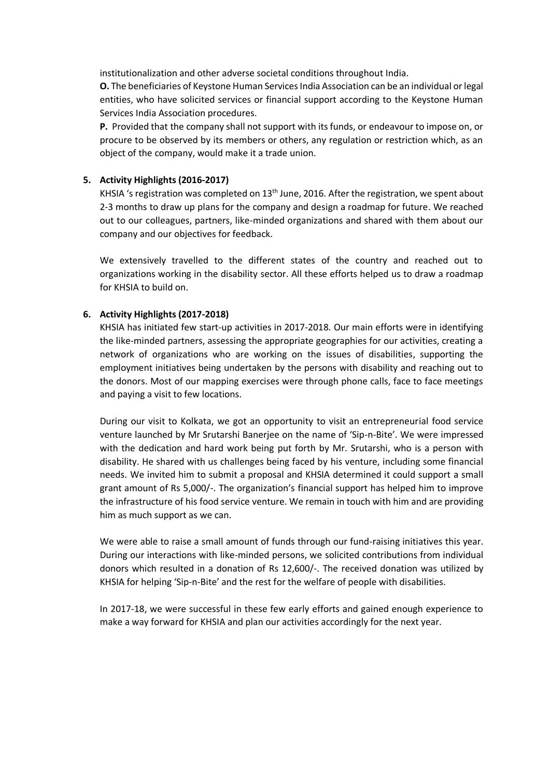institutionalization and other adverse societal conditions throughout India.

**O.** The beneficiaries of Keystone Human Services India Association can be an individual or legal entities, who have solicited services or financial support according to the Keystone Human Services India Association procedures.

**P.** Provided that the company shall not support with its funds, or endeavour to impose on, or procure to be observed by its members or others, any regulation or restriction which, as an object of the company, would make it a trade union.

# **5. Activity Highlights (2016-2017)**

KHSIA 's registration was completed on 13<sup>th</sup> June, 2016. After the registration, we spent about 2-3 months to draw up plans for the company and design a roadmap for future. We reached out to our colleagues, partners, like-minded organizations and shared with them about our company and our objectives for feedback.

We extensively travelled to the different states of the country and reached out to organizations working in the disability sector. All these efforts helped us to draw a roadmap for KHSIA to build on.

# **6. Activity Highlights (2017-2018)**

KHSIA has initiated few start-up activities in 2017-2018. Our main efforts were in identifying the like-minded partners, assessing the appropriate geographies for our activities, creating a network of organizations who are working on the issues of disabilities, supporting the employment initiatives being undertaken by the persons with disability and reaching out to the donors. Most of our mapping exercises were through phone calls, face to face meetings and paying a visit to few locations.

During our visit to Kolkata, we got an opportunity to visit an entrepreneurial food service venture launched by Mr Srutarshi Banerjee on the name of 'Sip-n-Bite'. We were impressed with the dedication and hard work being put forth by Mr. Srutarshi, who is a person with disability. He shared with us challenges being faced by his venture, including some financial needs. We invited him to submit a proposal and KHSIA determined it could support a small grant amount of Rs 5,000/-. The organization's financial support has helped him to improve the infrastructure of his food service venture. We remain in touch with him and are providing him as much support as we can.

We were able to raise a small amount of funds through our fund-raising initiatives this year. During our interactions with like-minded persons, we solicited contributions from individual donors which resulted in a donation of Rs 12,600/-. The received donation was utilized by KHSIA for helping 'Sip-n-Bite' and the rest for the welfare of people with disabilities.

In 2017-18, we were successful in these few early efforts and gained enough experience to make a way forward for KHSIA and plan our activities accordingly for the next year.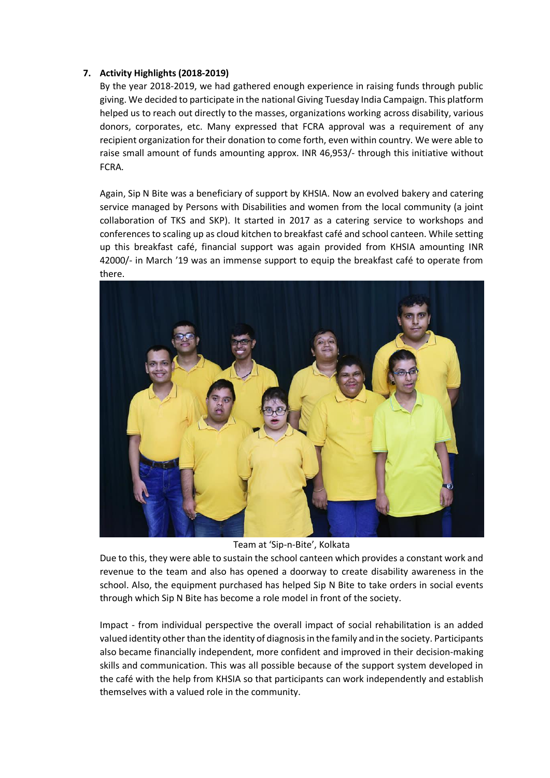# **7. Activity Highlights (2018-2019)**

By the year 2018-2019, we had gathered enough experience in raising funds through public giving. We decided to participate in the national Giving Tuesday India Campaign. This platform helped us to reach out directly to the masses, organizations working across disability, various donors, corporates, etc. Many expressed that FCRA approval was a requirement of any recipient organization for their donation to come forth, even within country. We were able to raise small amount of funds amounting approx. INR 46,953/- through this initiative without FCRA.

Again, Sip N Bite was a beneficiary of support by KHSIA. Now an evolved bakery and catering service managed by Persons with Disabilities and women from the local community (a joint collaboration of TKS and SKP). It started in 2017 as a catering service to workshops and conferences to scaling up as cloud kitchen to breakfast café and school canteen. While setting up this breakfast café, financial support was again provided from KHSIA amounting INR 42000/- in March '19 was an immense support to equip the breakfast café to operate from there.



Team at 'Sip-n-Bite', Kolkata

Due to this, they were able to sustain the school canteen which provides a constant work and revenue to the team and also has opened a doorway to create disability awareness in the school. Also, the equipment purchased has helped Sip N Bite to take orders in social events through which Sip N Bite has become a role model in front of the society.

Impact - from individual perspective the overall impact of social rehabilitation is an added valued identity other than the identity of diagnosis in the family and in the society. Participants also became financially independent, more confident and improved in their decision-making skills and communication. This was all possible because of the support system developed in the café with the help from KHSIA so that participants can work independently and establish themselves with a valued role in the community.